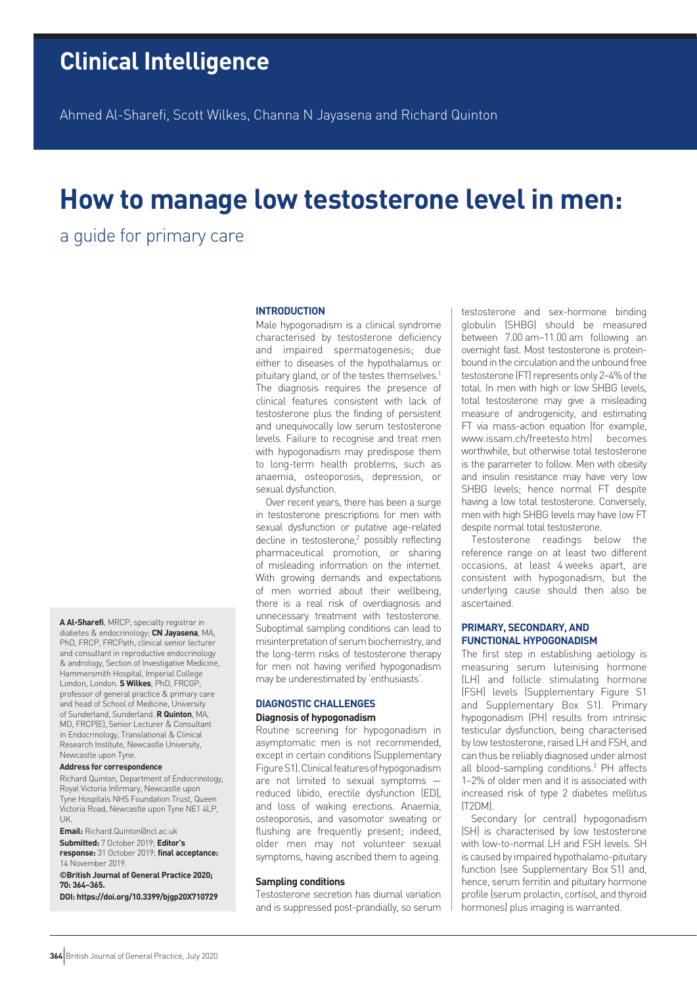Ahmed Al-Sharefi, Scott Wilkes, Channa N Jayasena and Richard Quinton

# **How to manage low testosterone level in men:**

a guide for primary care

# **INTRODUCTION**

Male hypogonadism is a clinical syndrome characterised by testosterone deficiency and impaired spermatogenesis; due either to diseases of the hypothalamus or pituitary gland, or of the testes themselves.<sup>1</sup> The diagnosis requires the presence of clinical features consistent with lack of testosterone plus the finding of persistent and unequivocally low serum testosterone levels. Failure to recognise and treat men with hypogonadism may predispose them to long-term health problems, such as anaemia, osteoporosis, depression, or sexual dysfunction.

Over recent years, there has been a surge in testosterone prescriptions for men with sexual dysfunction or putative age-related decline in testosterone,<sup>2</sup> possibly reflecting pharmaceutical promotion, or sharing of misleading information on the internet. With growing demands and expectations of men worried about their wellbeing, there is a real risk of overdiagnosis and unnecessary treatment with testosterone. Suboptimal sampling conditions can lead to misinterpretation of serum biochemistry, and the long-term risks of testosterone therapy for men not having verified hypogonadism may be underestimated by 'enthusiasts'.

# **DIAGNOSTIC CHALLENGES**

**Diagnosis of hypogonadism**

Routine screening for hypogonadism in asymptomatic men is not recommended, except in certain conditions (Supplementary Figure S1). Clinical features of hypogonadism are not limited to sexual symptoms reduced libido, erectile dysfunction (ED), and loss of waking erections. Anaemia, osteoporosis, and vasomotor sweating or flushing are frequently present; indeed, older men may not volunteer sexual symptoms, having ascribed them to ageing.

#### **Sampling conditions**

Testosterone secretion has diurnal variation and is suppressed post-prandially, so serum

testosterone and sex-hormone binding globulin (SHBG) should be measured between 7.00 am–11.00 am following an overnight fast. Most testosterone is proteinbound in the circulation and the unbound free testosterone (FT) represents only 2–4% of the total. In men with high or low SHBG levels, total testosterone may give a misleading measure of androgenicity, and estimating FT via mass-action equation (for example, www.issam.ch/freetesto.htm) becomes worthwhile, but otherwise total testosterone is the parameter to follow. Men with obesity and insulin resistance may have very low SHBG levels; hence normal FT despite having a low total testosterone. Conversely, men with high SHBG levels may have low FT despite normal total testosterone.

Testosterone readings below the reference range on at least two different occasions, at least 4 weeks apart, are consistent with hypogonadism, but the underlying cause should then also be ascertained.

# **PRIMARY, SECONDARY, AND FUNCTIONAL HYPOGONADISM**

The first step in establishing aetiology is measuring serum luteinising hormone (LH) and follicle stimulating hormone (FSH) levels (Supplementary Figure S1 and Supplementary Box S1). Primary hypogonadism (PH) results from intrinsic testicular dysfunction, being characterised by low testosterone, raised LH and FSH, and can thus be reliably diagnosed under almost all blood-sampling conditions.3 PH affects 1–2% of older men and it is associated with increased risk of type 2 diabetes mellitus (T2DM).

Secondary (or central) hypogonadism (SH) is characterised by low testosterone with low-to-normal LH and FSH levels. SH is caused by impaired hypothalamo-pituitary function (see Supplementary Box S1) and, hence, serum ferritin and pituitary hormone profile (serum prolactin, cortisol, and thyroid hormones) plus imaging is warranted.

**A Al-Sharefi**, MRCP, specialty registrar in diabetes & endocrinology; **CN Jayasena**, MA, PhD, FRCP, FRCPath, clinical senior lecturer and consultant in reproductive endocrinology & andrology, Section of Investigative Medicine, Hammersmith Hospital, Imperial College London, London. **S Wilkes**, PhD, FRCGP, professor of general practice & primary care and head of School of Medicine, University of Sunderland, Sunderland. **R Quinton**, MA, MD, FRCP(E), Senior Lecturer & Consultant in Endocrinology, Translational & Clinical Research Institute, Newcastle University, Newcastle upon Tyne.

#### **Address for correspondence**

Richard Quinton, Department of Endocrinology, Royal Victoria Infirmary, Newcastle upon Tyne Hospitals NHS Foundation Trust, Queen Victoria Road, Newcastle upon Tyne NE1 4LP,  $UL$ 

**Email:** Richard.Quinton@ncl.ac.uk **Submitted:** 7 October 2019; **Editor's response:** 31 October 2019; **final acceptance:**  14 November 2019.

**©British Journal of General Practice 2020; 70: 364–365.**

**DOI: https://doi.org/10.3399/bjgp20X710729**